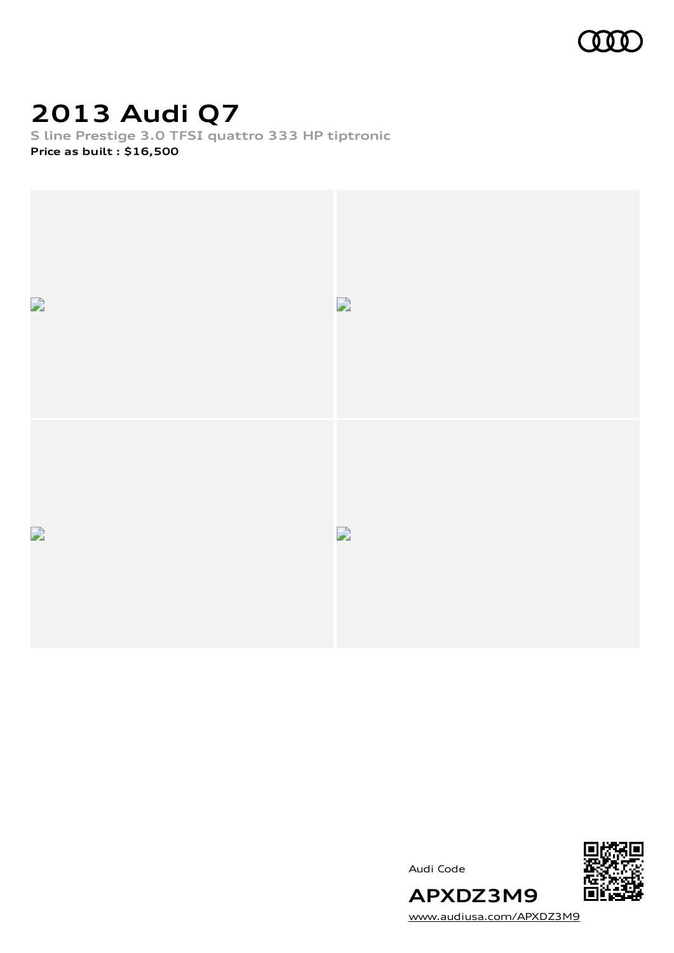

## **2013 Audi Q7**

**S line Prestige 3.0 TFSI quattro 333 HP tiptronic Price as built [:](#page-10-0) \$16,500**



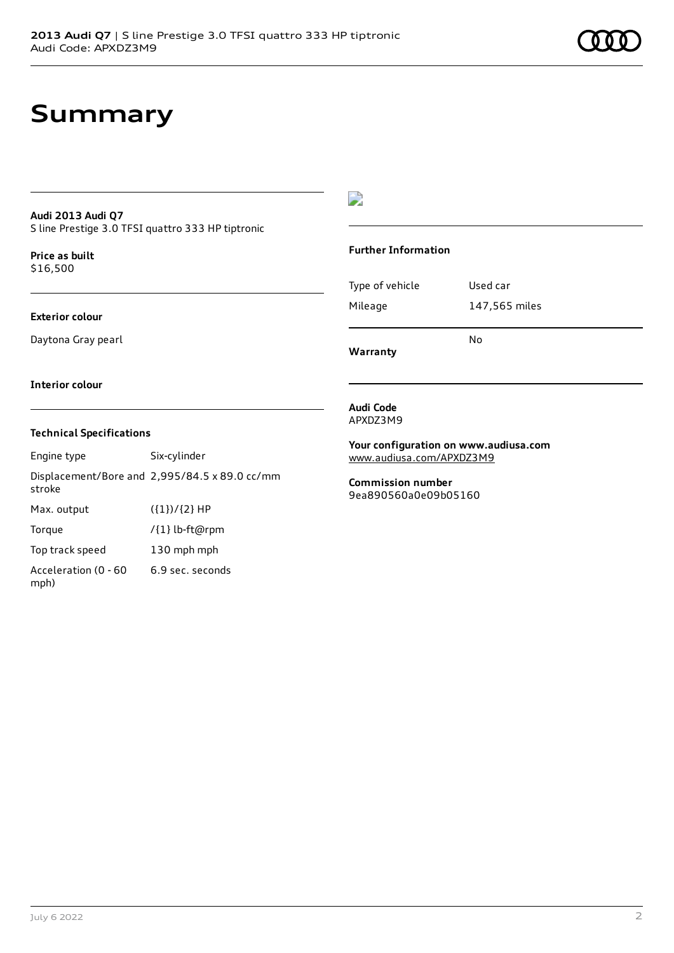#### **Audi 2013 Audi Q7** S line Prestige 3.0 TFSI quattro 333 HP tiptronic

**Price as buil[t](#page-10-0)** \$16,500

### **Exterior colour**

Daytona Gray pearl

### D

### **Further Information**

|                 | N٥            |
|-----------------|---------------|
| Mileage         | 147,565 miles |
| Type of vehicle | Used car      |

**Warranty**

#### **Interior colour**

### **Technical Specifications**

Engine type Six-cylinder Displacement/Bore and 2,995/84.5 x 89.0 cc/mm stroke Max. output  $({1})/{2}$  HP Torque /{1} lb-ft@rpm Top track speed 130 mph mph Acceleration (0 - 60 mph) 6.9 sec. seconds

**Audi Code** APXDZ3M9

**Your configuration on www.audiusa.com** [www.audiusa.com/APXDZ3M9](https://www.audiusa.com/APXDZ3M9)

**Commission number** 9ea890560a0e09b05160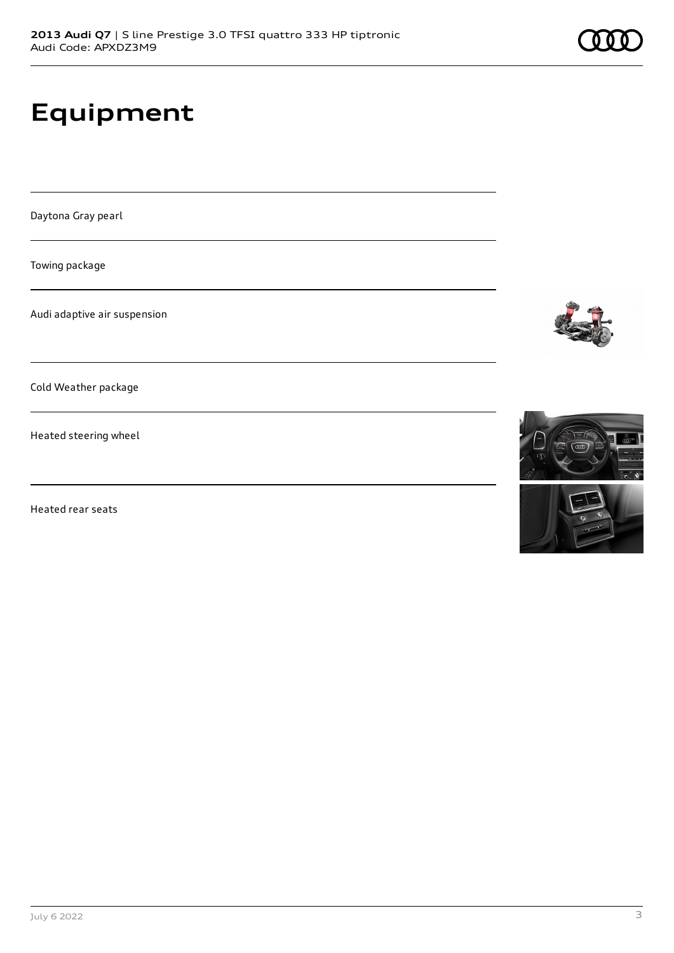# **Equipment**

Daytona Gray pearl

Towing package

Audi adaptive air suspension

Cold Weather package

Heated steering wheel

Heated rear seats





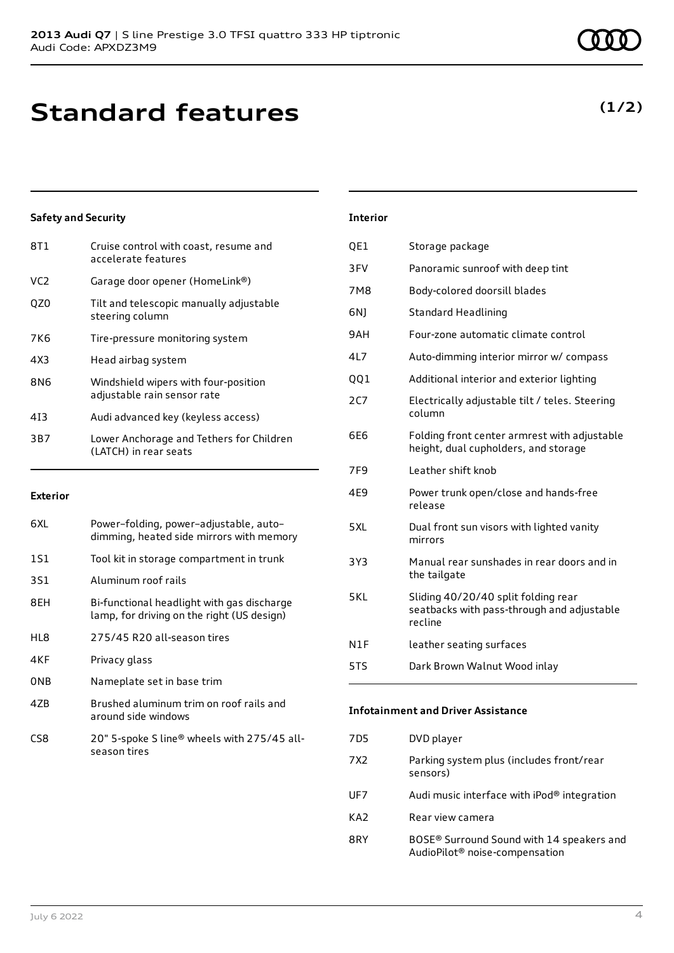| Cruise control with coast, resume and<br>accelerate features        |
|---------------------------------------------------------------------|
| Garage door opener (HomeLink®)                                      |
| Tilt and telescopic manually adjustable<br>steering column          |
| Tire-pressure monitoring system                                     |
| Head airbag system                                                  |
| Windshield wipers with four-position<br>adjustable rain sensor rate |
| Audi advanced key (keyless access)                                  |
| Lower Anchorage and Tethers for Children<br>(LATCH) in rear seats   |
|                                                                     |

### **Exterior**

| 6XL | Power-folding, power-adjustable, auto-<br>dimming, heated side mirrors with memory       |
|-----|------------------------------------------------------------------------------------------|
| 1S1 | Tool kit in storage compartment in trunk                                                 |
| 3S1 | Aluminum roof rails                                                                      |
| 8EH | Bi-functional headlight with gas discharge<br>lamp, for driving on the right (US design) |
| HL8 | 275/45 R20 all-season tires                                                              |
| 4KF | Privacy glass                                                                            |
| ONB | Nameplate set in base trim                                                               |
| 47R | Brushed aluminum trim on roof rails and<br>around side windows                           |
| CS8 | 20" 5-spoke S line® wheels with 275/45 all-<br>season tires                              |

| <b>Interior</b> |                                                                                              |
|-----------------|----------------------------------------------------------------------------------------------|
| QE1             | Storage package                                                                              |
| 3FV             | Panoramic sunroof with deep tint                                                             |
| 7M8             | Body-colored doorsill blades                                                                 |
| 6N)             | <b>Standard Headlining</b>                                                                   |
| 9AH.            | Four-zone automatic climate control                                                          |
| 41 7            | Auto-dimming interior mirror w/ compass                                                      |
| QQ1             | Additional interior and exterior lighting                                                    |
| <b>2C7</b>      | Electrically adjustable tilt / teles. Steering<br>column                                     |
| 6E6             | Folding front center armrest with adjustable<br>height, dual cupholders, and storage         |
| 7F <sub>9</sub> | Leather shift knob                                                                           |
| 4E9             | Power trunk open/close and hands-free<br>release                                             |
| 5XL             | Dual front sun visors with lighted vanity<br>mirrors                                         |
| 3Y3             | Manual rear sunshades in rear doors and in<br>the tailgate                                   |
| 5 K I           | Sliding 40/20/40 split folding rear<br>seatbacks with pass-through and adjustable<br>recline |
| N1F             | leather seating surfaces                                                                     |
| 5TS             | Dark Brown Walnut Wood inlay                                                                 |
|                 |                                                                                              |

### **Infotainment and Driver Assistance**

| 7D5 | DVD player                                                                                          |
|-----|-----------------------------------------------------------------------------------------------------|
| 7X2 | Parking system plus (includes front/rear<br>sensors)                                                |
| UF7 | Audi music interface with $i$ Pod $\textcircled{e}$ integration                                     |
| KA2 | Rear view camera                                                                                    |
| 8RY | BOSE <sup>®</sup> Surround Sound with 14 speakers and<br>AudioPilot <sup>®</sup> noise-compensation |

### **(1/2)**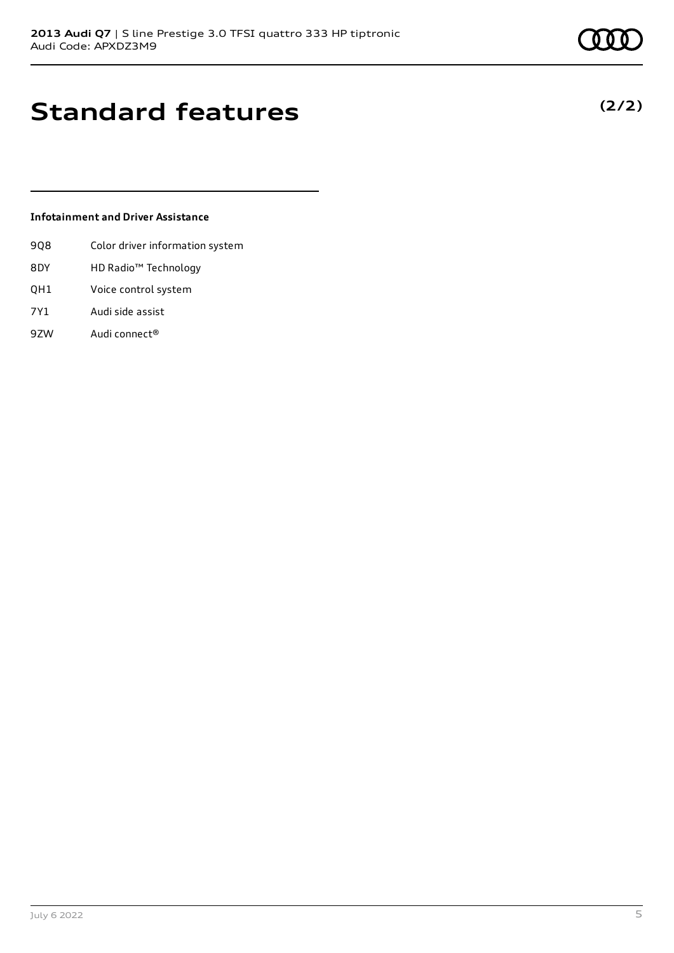**(2/2)**

## **Standard features**

### **Infotainment and Driver Assistance**

- 9Q8 Color driver information system
- 8DY HD Radio™ Technology
- QH1 Voice control system
- 7Y1 Audi side assist
- 9ZW Audi connect®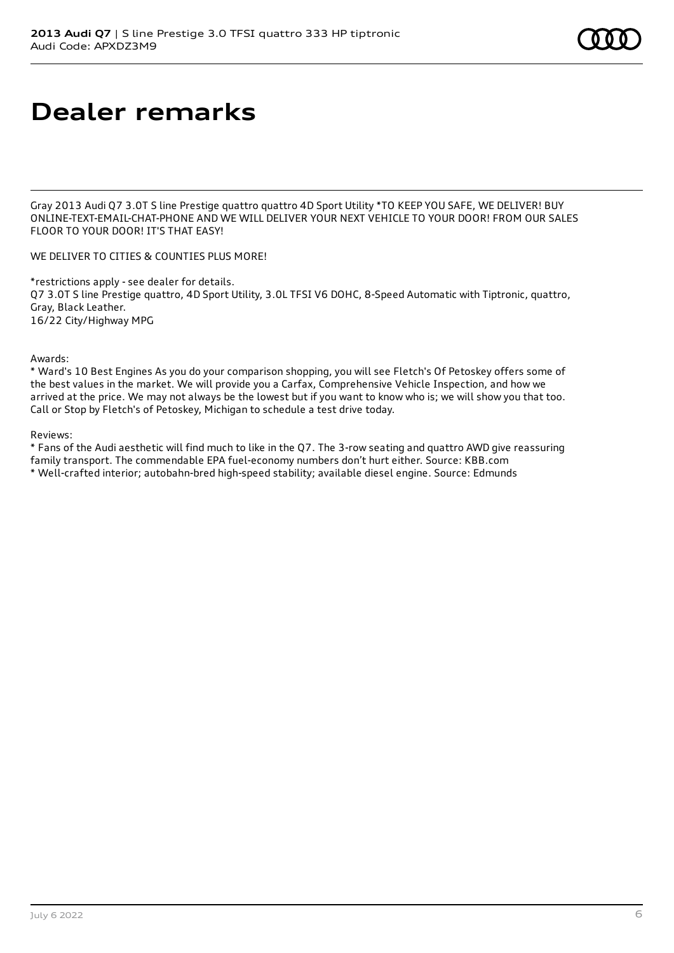## **Dealer remarks**

Gray 2013 Audi Q7 3.0T S line Prestige quattro quattro 4D Sport Utility \*TO KEEP YOU SAFE, WE DELIVER! BUY ONLINE-TEXT-EMAIL-CHAT-PHONE AND WE WILL DELIVER YOUR NEXT VEHICLE TO YOUR DOOR! FROM OUR SALES FLOOR TO YOUR DOOR! IT'S THAT EASY!

WE DELIVER TO CITIES & COUNTIES PLUS MORE!

\*restrictions apply - see dealer for details. Q7 3.0T S line Prestige quattro, 4D Sport Utility, 3.0L TFSI V6 DOHC, 8-Speed Automatic with Tiptronic, quattro, Gray, Black Leather. 16/22 City/Highway MPG

Awards:

\* Ward's 10 Best Engines As you do your comparison shopping, you will see Fletch's Of Petoskey offers some of the best values in the market. We will provide you a Carfax, Comprehensive Vehicle Inspection, and how we arrived at the price. We may not always be the lowest but if you want to know who is; we will show you that too. Call or Stop by Fletch's of Petoskey, Michigan to schedule a test drive today.

Reviews:

\* Fans of the Audi aesthetic will find much to like in the Q7. The 3-row seating and quattro AWD give reassuring family transport. The commendable EPA fuel-economy numbers don't hurt either. Source: KBB.com \* Well-crafted interior; autobahn-bred high-speed stability; available diesel engine. Source: Edmunds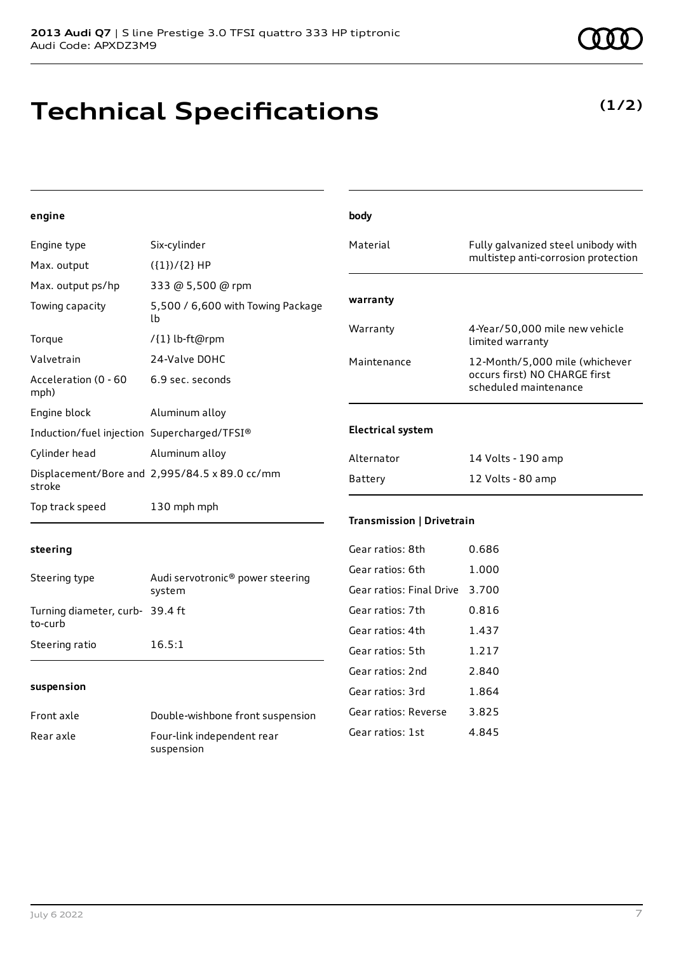## **Technical Specifications**

### **engine**

| Engine type                                 | Six-cylinder                                  |
|---------------------------------------------|-----------------------------------------------|
| Max. output                                 | $({1})/{2}$ HP                                |
| Max. output ps/hp                           | 333 @ 5,500 @ rpm                             |
| Towing capacity                             | 5,500 / 6,600 with Towing Package<br>lb.      |
| Torque                                      | /{1} lb-ft@rpm                                |
| Valvetrain                                  | 24-Valve DOHC                                 |
| Acceleration (0 - 60<br>mph)                | 6.9 sec. seconds                              |
| Engine block                                | Aluminum alloy                                |
| Induction/fuel injection Supercharged/TFSI® |                                               |
| Cylinder head                               | Aluminum alloy                                |
| stroke                                      | Displacement/Bore and 2,995/84.5 x 89.0 cc/mm |
| Top track speed                             | 130 mph mph                                   |

| body                     |                                                                                          |
|--------------------------|------------------------------------------------------------------------------------------|
| Material                 | Fully galvanized steel unibody with<br>multistep anti-corrosion protection               |
| warranty                 |                                                                                          |
| Warranty                 | 4-Year/50,000 mile new vehicle<br>limited warranty                                       |
| Maintenance              | 12-Month/5,000 mile (whichever<br>occurs first) NO CHARGE first<br>scheduled maintenance |
| <b>Electrical system</b> |                                                                                          |
| Alternator               | 14 Volts - 190 amp                                                                       |
| Battery                  | 12 Volts - 80 amp                                                                        |

### **steering**

| Steering type                             | Audi servotronic <sup>®</sup> power steering<br>system |
|-------------------------------------------|--------------------------------------------------------|
| Turning diameter, curb-39.4 ft<br>to-curb |                                                        |
| Steering ratio                            | 16.5:1                                                 |

#### **suspension**

| Front axle | Double-wishbone front suspension |
|------------|----------------------------------|
| Rear axle  | Four-link independent rear       |
|            | suspension                       |

### **Transmission | Drivetrain**

| Gear ratios: 8th         | 0.686 |
|--------------------------|-------|
| Gear ratios: 6th         | 1.000 |
| Gear ratios: Final Drive | 3.700 |
| Gear ratios: 7th         | 0.816 |
| Gear ratios: 4th         | 1.437 |
| Gear ratios: 5th         | 1.217 |
| Gear ratios: 2nd         | 2.840 |
| Gear ratios: 3rd         | 1.864 |
| Gear ratios: Reverse     | 3.825 |
| Gear ratios: 1st         | 4.845 |
|                          |       |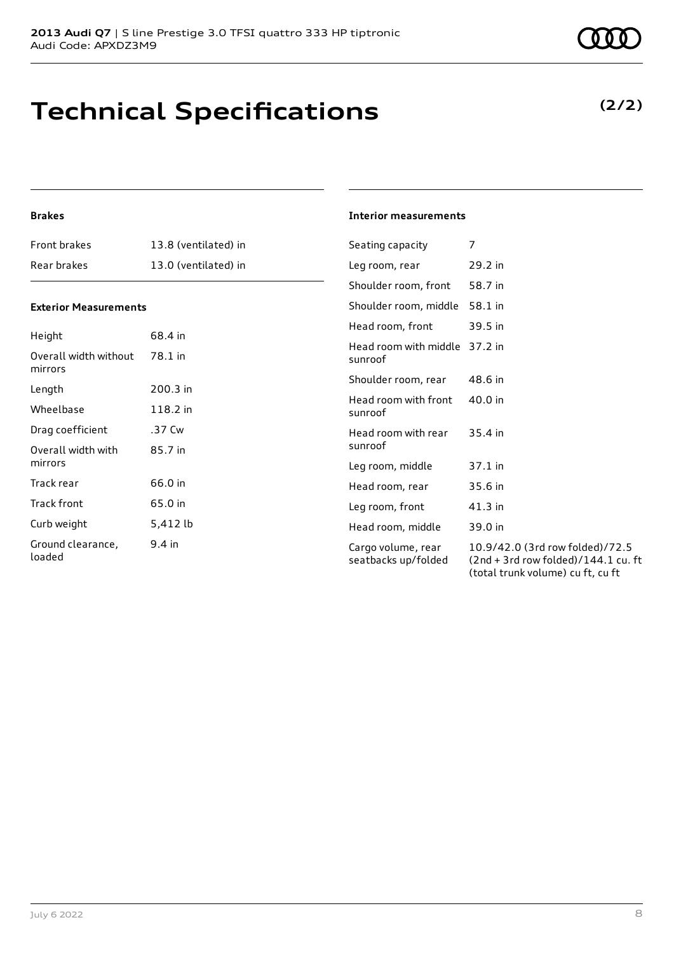## **Technical Specifications**

### **Brakes**

| Front brakes                               | 13.8 (ventilated) in | Seating capacity                          | 7                                                                                                             |
|--------------------------------------------|----------------------|-------------------------------------------|---------------------------------------------------------------------------------------------------------------|
| Rear brakes                                | 13.0 (ventilated) in | Leg room, rear                            | 29.2 in                                                                                                       |
|                                            |                      | Shoulder room, front                      | 58.7 in                                                                                                       |
| <b>Exterior Measurements</b>               |                      | Shoulder room, middle                     | 58.1 in                                                                                                       |
|                                            |                      | Head room, front                          | 39.5 in                                                                                                       |
| Height<br>Overall width without<br>mirrors | 68.4 in<br>78.1 in   | Head room with middle 37.2 in<br>sunroof  |                                                                                                               |
|                                            |                      | Shoulder room, rear                       | 48.6 in                                                                                                       |
| Length<br>Wheelbase                        | 200.3 in<br>118.2 in | Head room with front<br>sunroof           | 40.0 in                                                                                                       |
| Drag coefficient                           | .37 Cw               | Head room with rear                       | 35.4 in                                                                                                       |
| Overall width with                         | 85.7 in              | sunroof                                   |                                                                                                               |
| mirrors                                    |                      | Leg room, middle                          | 37.1 in                                                                                                       |
| Track rear                                 | 66.0 in              | Head room, rear                           | 35.6 in                                                                                                       |
| Track front                                | 65.0 in              | Leg room, front                           | 41.3 in                                                                                                       |
| Curb weight                                | 5,412 lb             | Head room, middle                         | 39.0 in                                                                                                       |
| Ground clearance,<br>loaded                | 9.4 in               | Cargo volume, rear<br>seatbacks up/folded | 10.9/42.0 (3rd row folded)/72.5<br>$(2nd + 3rd row folded)/144.1 cu. ft$<br>(total trunk volume) cu ft, cu ft |

**Interior measurements**

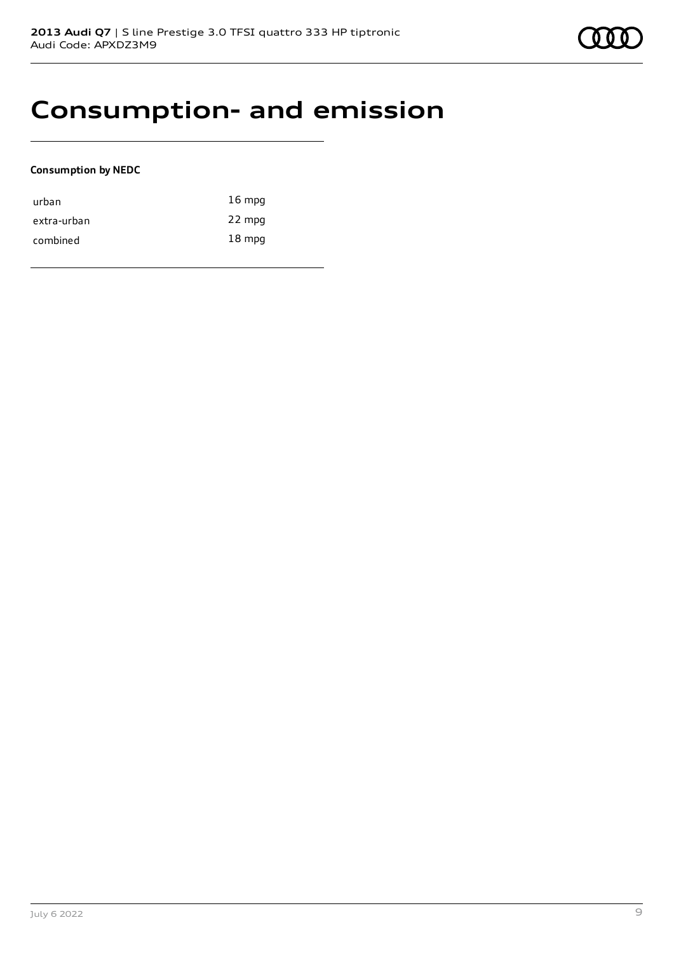

### **Consumption- and emission**

### **Consumption by NEDC**

| urban       | $16 \text{ mpg}$ |
|-------------|------------------|
| extra-urban | 22 mpg           |
| combined    | $18 \text{ mpg}$ |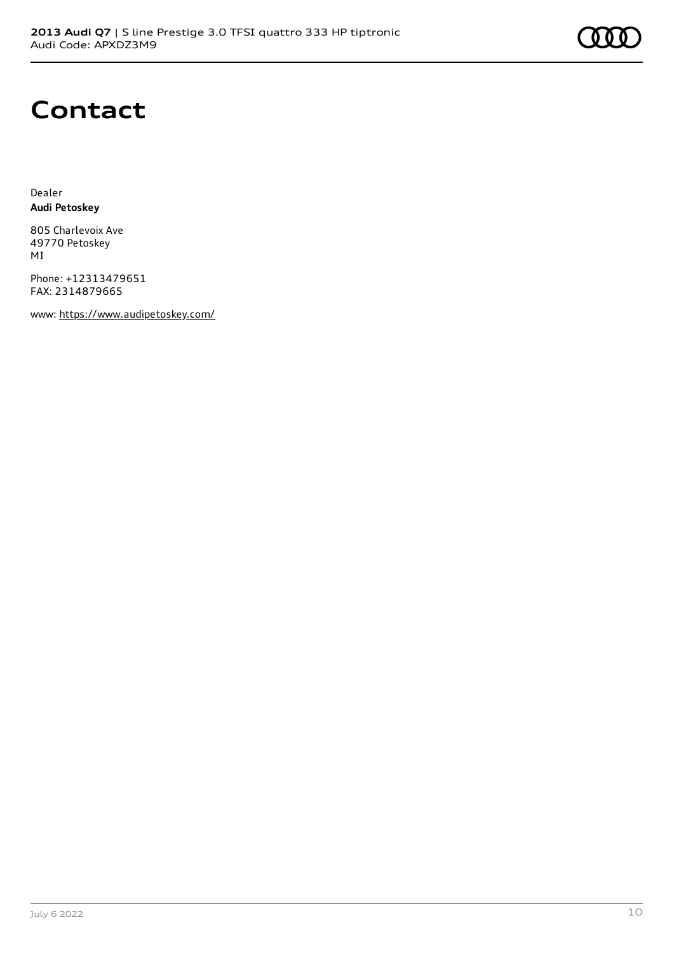

### **Contact**

Dealer **Audi Petoskey**

805 Charlevoix Ave 49770 Petoskey MI

Phone: +12313479651 FAX: 2314879665

www: <https://www.audipetoskey.com/>